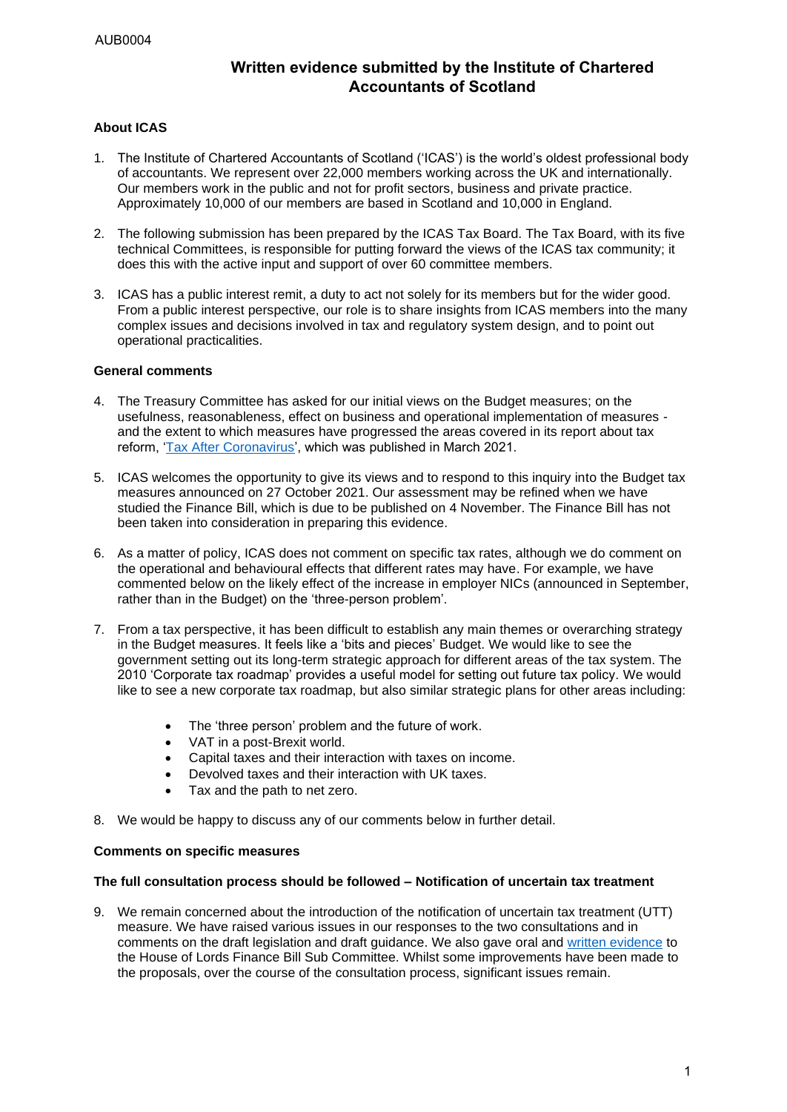# **Written evidence submitted by the Institute of Chartered Accountants of Scotland**

# **About ICAS**

- 1. The Institute of Chartered Accountants of Scotland ('ICAS') is the world's oldest professional body of accountants. We represent over 22,000 members working across the UK and internationally. Our members work in the public and not for profit sectors, business and private practice. Approximately 10,000 of our members are based in Scotland and 10,000 in England.
- 2. The following submission has been prepared by the ICAS Tax Board. The Tax Board, with its five technical Committees, is responsible for putting forward the views of the ICAS tax community; it does this with the active input and support of over 60 committee members.
- 3. ICAS has a public interest remit, a duty to act not solely for its members but for the wider good. From a public interest perspective, our role is to share insights from ICAS members into the many complex issues and decisions involved in tax and regulatory system design, and to point out operational practicalities.

## **General comments**

- 4. The Treasury Committee has asked for our initial views on the Budget measures; on the usefulness, reasonableness, effect on business and operational implementation of measures and the extent to which measures have progressed the areas covered in its report about tax reform, ['Tax After Coronavirus'](https://committees.parliament.uk/publications/4865/documents/48898/default/), which was published in March 2021.
- 5. ICAS welcomes the opportunity to give its views and to respond to this inquiry into the Budget tax measures announced on 27 October 2021. Our assessment may be refined when we have studied the Finance Bill, which is due to be published on 4 November. The Finance Bill has not been taken into consideration in preparing this evidence.
- 6. As a matter of policy, ICAS does not comment on specific tax rates, although we do comment on the operational and behavioural effects that different rates may have. For example, we have commented below on the likely effect of the increase in employer NICs (announced in September, rather than in the Budget) on the 'three-person problem'.
- 7. From a tax perspective, it has been difficult to establish any main themes or overarching strategy in the Budget measures. It feels like a 'bits and pieces' Budget. We would like to see the government setting out its long-term strategic approach for different areas of the tax system. The 2010 'Corporate tax roadmap' provides a useful model for setting out future tax policy. We would like to see a new corporate tax roadmap, but also similar strategic plans for other areas including:
	- The 'three person' problem and the future of work.
	- VAT in a post-Brexit world.
	- Capital taxes and their interaction with taxes on income.
	- Devolved taxes and their interaction with UK taxes.
	- Tax and the path to net zero.
- 8. We would be happy to discuss any of our comments below in further detail.

#### **Comments on specific measures**

#### **The full consultation process should be followed – Notification of uncertain tax treatment**

9. We remain concerned about the introduction of the notification of uncertain tax treatment (UTT) measure. We have raised various issues in our responses to the two consultations and in comments on the draft legislation and draft guidance. We also gave oral and [written evidence](https://www.icas.com/__data/assets/pdf_file/0008/590390/20211012-Submission-House-of-Lords-Finance-Bill-Sub-Committee-Draft-Finance-Bill-Final.pdf) to the House of Lords Finance Bill Sub Committee. Whilst some improvements have been made to the proposals, over the course of the consultation process, significant issues remain.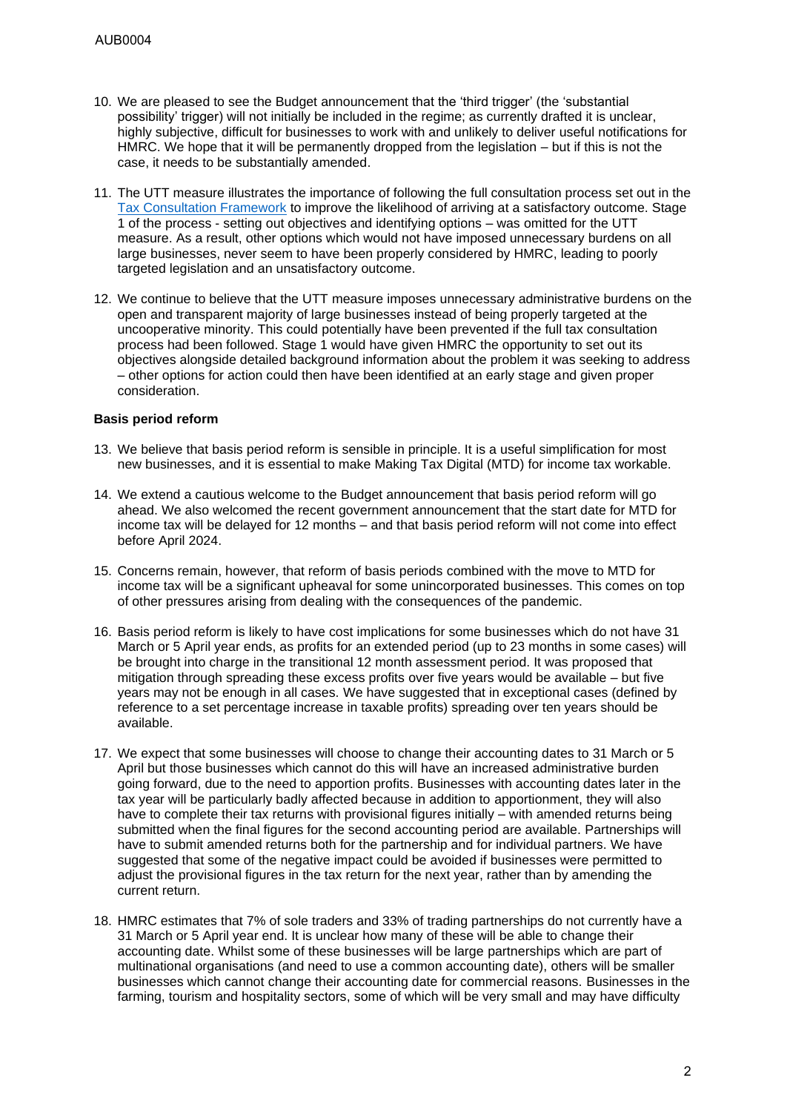- 10. We are pleased to see the Budget announcement that the 'third trigger' (the 'substantial possibility' trigger) will not initially be included in the regime; as currently drafted it is unclear, highly subjective, difficult for businesses to work with and unlikely to deliver useful notifications for HMRC. We hope that it will be permanently dropped from the legislation – but if this is not the case, it needs to be substantially amended.
- 11. The UTT measure illustrates the importance of following the full consultation process set out in the [Tax Consultation Framework](https://assets.publishing.service.gov.uk/government/uploads/system/uploads/attachment_data/file/89261/tax-consultation-framework.pdf) to improve the likelihood of arriving at a satisfactory outcome. Stage 1 of the process - setting out objectives and identifying options – was omitted for the UTT measure. As a result, other options which would not have imposed unnecessary burdens on all large businesses, never seem to have been properly considered by HMRC, leading to poorly targeted legislation and an unsatisfactory outcome.
- 12. We continue to believe that the UTT measure imposes unnecessary administrative burdens on the open and transparent majority of large businesses instead of being properly targeted at the uncooperative minority. This could potentially have been prevented if the full tax consultation process had been followed. Stage 1 would have given HMRC the opportunity to set out its objectives alongside detailed background information about the problem it was seeking to address – other options for action could then have been identified at an early stage and given proper consideration.

## **Basis period reform**

- 13. We believe that basis period reform is sensible in principle. It is a useful simplification for most new businesses, and it is essential to make Making Tax Digital (MTD) for income tax workable.
- 14. We extend a cautious welcome to the Budget announcement that basis period reform will go ahead. We also welcomed the recent government announcement that the start date for MTD for income tax will be delayed for 12 months – and that basis period reform will not come into effect before April 2024.
- 15. Concerns remain, however, that reform of basis periods combined with the move to MTD for income tax will be a significant upheaval for some unincorporated businesses. This comes on top of other pressures arising from dealing with the consequences of the pandemic.
- 16. Basis period reform is likely to have cost implications for some businesses which do not have 31 March or 5 April year ends, as profits for an extended period (up to 23 months in some cases) will be brought into charge in the transitional 12 month assessment period. It was proposed that mitigation through spreading these excess profits over five years would be available – but five years may not be enough in all cases. We have suggested that in exceptional cases (defined by reference to a set percentage increase in taxable profits) spreading over ten years should be available.
- 17. We expect that some businesses will choose to change their accounting dates to 31 March or 5 April but those businesses which cannot do this will have an increased administrative burden going forward, due to the need to apportion profits. Businesses with accounting dates later in the tax year will be particularly badly affected because in addition to apportionment, they will also have to complete their tax returns with provisional figures initially – with amended returns being submitted when the final figures for the second accounting period are available. Partnerships will have to submit amended returns both for the partnership and for individual partners. We have suggested that some of the negative impact could be avoided if businesses were permitted to adjust the provisional figures in the tax return for the next year, rather than by amending the current return.
- 18. HMRC estimates that 7% of sole traders and 33% of trading partnerships do not currently have a 31 March or 5 April year end. It is unclear how many of these will be able to change their accounting date. Whilst some of these businesses will be large partnerships which are part of multinational organisations (and need to use a common accounting date), others will be smaller businesses which cannot change their accounting date for commercial reasons. Businesses in the farming, tourism and hospitality sectors, some of which will be very small and may have difficulty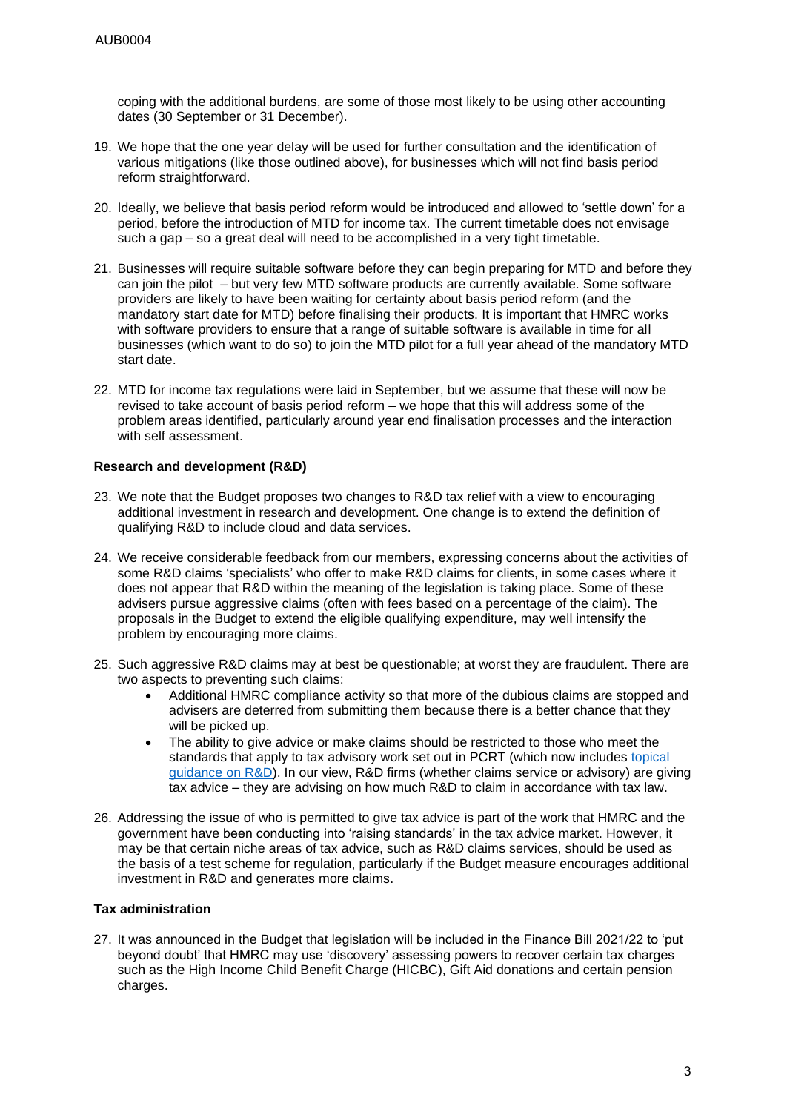coping with the additional burdens, are some of those most likely to be using other accounting dates (30 September or 31 December).

- 19. We hope that the one year delay will be used for further consultation and the identification of various mitigations (like those outlined above), for businesses which will not find basis period reform straightforward.
- 20. Ideally, we believe that basis period reform would be introduced and allowed to 'settle down' for a period, before the introduction of MTD for income tax. The current timetable does not envisage such a gap – so a great deal will need to be accomplished in a very tight timetable.
- 21. Businesses will require suitable software before they can begin preparing for MTD and before they can join the pilot – but very few MTD software products are currently available. Some software providers are likely to have been waiting for certainty about basis period reform (and the mandatory start date for MTD) before finalising their products. It is important that HMRC works with software providers to ensure that a range of suitable software is available in time for all businesses (which want to do so) to join the MTD pilot for a full year ahead of the mandatory MTD start date.
- 22. MTD for income tax regulations were laid in September, but we assume that these will now be revised to take account of basis period reform – we hope that this will address some of the problem areas identified, particularly around year end finalisation processes and the interaction with self assessment.

## **Research and development (R&D)**

- 23. We note that the Budget proposes two changes to R&D tax relief with a view to encouraging additional investment in research and development. One change is to extend the definition of qualifying R&D to include cloud and data services.
- 24. We receive considerable feedback from our members, expressing concerns about the activities of some R&D claims 'specialists' who offer to make R&D claims for clients, in some cases where it does not appear that R&D within the meaning of the legislation is taking place. Some of these advisers pursue aggressive claims (often with fees based on a percentage of the claim). The proposals in the Budget to extend the eligible qualifying expenditure, may well intensify the problem by encouraging more claims.
- 25. Such aggressive R&D claims may at best be questionable; at worst they are fraudulent. There are two aspects to preventing such claims:
	- Additional HMRC compliance activity so that more of the dubious claims are stopped and advisers are deterred from submitting them because there is a better chance that they will be picked up.
	- The ability to give advice or make claims should be restricted to those who meet the standards that apply to tax advisory work set out in PCRT (which now includes topical [guidance on R&D\)](https://www.icas.com/__data/assets/pdf_file/0008/543347/RD-Helpsheet-PCRT-June-2020-FINAL.pdf). In our view, R&D firms (whether claims service or advisory) are giving tax advice – they are advising on how much R&D to claim in accordance with tax law.
- 26. Addressing the issue of who is permitted to give tax advice is part of the work that HMRC and the government have been conducting into 'raising standards' in the tax advice market. However, it may be that certain niche areas of tax advice, such as R&D claims services, should be used as the basis of a test scheme for regulation, particularly if the Budget measure encourages additional investment in R&D and generates more claims.

# **Tax administration**

27. It was announced in the Budget that legislation will be included in the Finance Bill 2021/22 to 'put beyond doubt' that HMRC may use 'discovery' assessing powers to recover certain tax charges such as the High Income Child Benefit Charge (HICBC), Gift Aid donations and certain pension charges.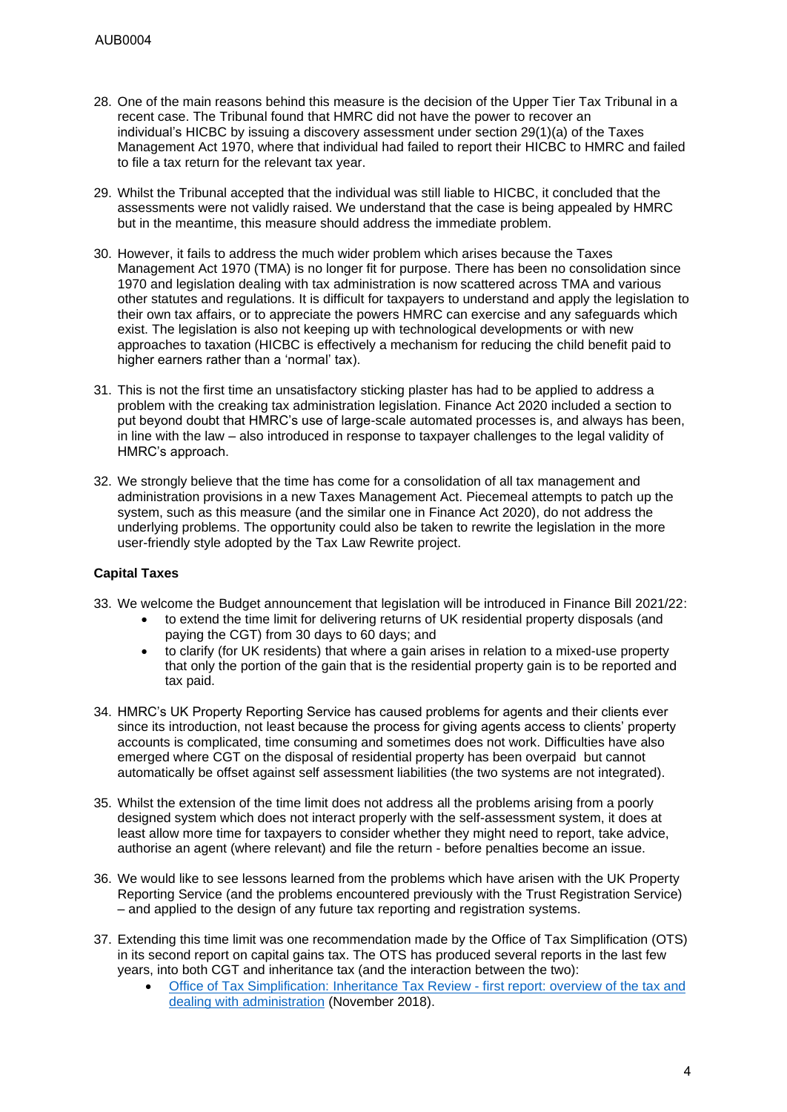- 28. One of the main reasons behind this measure is the decision of the Upper Tier Tax Tribunal in a recent case. The Tribunal found that HMRC did not have the power to recover an individual's HICBC by issuing a discovery assessment under section 29(1)(a) of the Taxes Management Act 1970, where that individual had failed to report their HICBC to HMRC and failed to file a tax return for the relevant tax year.
- 29. Whilst the Tribunal accepted that the individual was still liable to HICBC, it concluded that the assessments were not validly raised. We understand that the case is being appealed by HMRC but in the meantime, this measure should address the immediate problem.
- 30. However, it fails to address the much wider problem which arises because the Taxes Management Act 1970 (TMA) is no longer fit for purpose. There has been no consolidation since 1970 and legislation dealing with tax administration is now scattered across TMA and various other statutes and regulations. It is difficult for taxpayers to understand and apply the legislation to their own tax affairs, or to appreciate the powers HMRC can exercise and any safeguards which exist. The legislation is also not keeping up with technological developments or with new approaches to taxation (HICBC is effectively a mechanism for reducing the child benefit paid to higher earners rather than a 'normal' tax).
- 31. This is not the first time an unsatisfactory sticking plaster has had to be applied to address a problem with the creaking tax administration legislation. Finance Act 2020 included a section to put beyond doubt that HMRC's use of large-scale automated processes is, and always has been, in line with the law – also introduced in response to taxpayer challenges to the legal validity of HMRC's approach.
- 32. We strongly believe that the time has come for a consolidation of all tax management and administration provisions in a new Taxes Management Act. Piecemeal attempts to patch up the system, such as this measure (and the similar one in Finance Act 2020), do not address the underlying problems. The opportunity could also be taken to rewrite the legislation in the more user-friendly style adopted by the Tax Law Rewrite project.

# **Capital Taxes**

- 33. We welcome the Budget announcement that legislation will be introduced in Finance Bill 2021/22:
	- to extend the time limit for delivering returns of UK residential property disposals (and paying the CGT) from 30 days to 60 days; and
	- to clarify (for UK residents) that where a gain arises in relation to a mixed-use property that only the portion of the gain that is the residential property gain is to be reported and tax paid.
- 34. HMRC's UK Property Reporting Service has caused problems for agents and their clients ever since its introduction, not least because the process for giving agents access to clients' property accounts is complicated, time consuming and sometimes does not work. Difficulties have also emerged where CGT on the disposal of residential property has been overpaid but cannot automatically be offset against self assessment liabilities (the two systems are not integrated).
- 35. Whilst the extension of the time limit does not address all the problems arising from a poorly designed system which does not interact properly with the self-assessment system, it does at least allow more time for taxpayers to consider whether they might need to report, take advice, authorise an agent (where relevant) and file the return - before penalties become an issue.
- 36. We would like to see lessons learned from the problems which have arisen with the UK Property Reporting Service (and the problems encountered previously with the Trust Registration Service) – and applied to the design of any future tax reporting and registration systems.
- 37. Extending this time limit was one recommendation made by the Office of Tax Simplification (OTS) in its second report on capital gains tax. The OTS has produced several reports in the last few years, into both CGT and inheritance tax (and the interaction between the two):
	- Office of Tax [Simplification:](https://assets.publishing.service.gov.uk/government/uploads/system/uploads/attachment_data/file/758367/Final_Inheritance_Tax_Report_-_web_copy.pdf) Inheritance Tax Review first report: overview of the tax and dealing with [administration](https://assets.publishing.service.gov.uk/government/uploads/system/uploads/attachment_data/file/758367/Final_Inheritance_Tax_Report_-_web_copy.pdf) (November 2018).